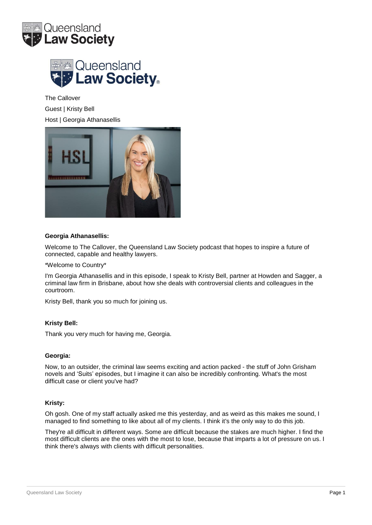



The Callover Guest | Kristy Bell Host | Georgia Athanasellis



## **Georgia Athanasellis:**

Welcome to The Callover, the Queensland Law Society podcast that hopes to inspire a future of connected, capable and healthy lawyers.

\*Welcome to Country\*

I'm Georgia Athanasellis and in this episode, I speak to Kristy Bell, partner at Howden and Sagger, a criminal law firm in Brisbane, about how she deals with controversial clients and colleagues in the courtroom.

Kristy Bell, thank you so much for joining us.

### **Kristy Bell:**

Thank you very much for having me, Georgia.

### **Georgia:**

Now, to an outsider, the criminal law seems exciting and action packed - the stuff of John Grisham novels and 'Suits' episodes, but I imagine it can also be incredibly confronting. What's the most difficult case or client you've had?

### **Kristy:**

Oh gosh. One of my staff actually asked me this yesterday, and as weird as this makes me sound, I managed to find something to like about all of my clients. I think it's the only way to do this job.

They're all difficult in different ways. Some are difficult because the stakes are much higher. I find the most difficult clients are the ones with the most to lose, because that imparts a lot of pressure on us. I think there's always with clients with difficult personalities.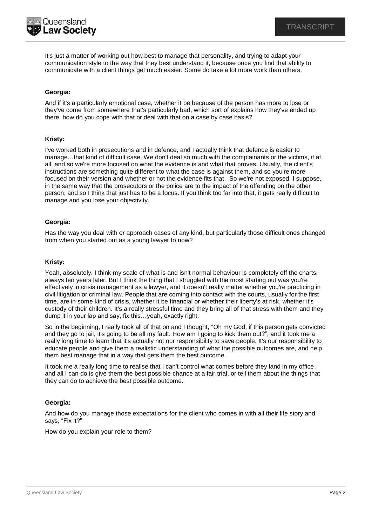

It's just a matter of working out how best to manage that personality, and trying to adapt your communication style to the way that they best understand it, because once you find that ability to communicate with a client things get much easier. Some do take a lot more work than others.

# **Georgia:**

And if it's a particularly emotional case, whether it be because of the person has more to lose or they've come from somewhere that's particularly bad, which sort of explains how they've ended up there, how do you cope with that or deal with that on a case by case basis?

### **Kristy:**

I've worked both in prosecutions and in defence, and I actually think that defence is easier to manage…that kind of difficult case. We don't deal so much with the complainants or the victims, if at all, and so we're more focused on what the evidence is and what that proves. Usually, the client's instructions are something quite different to what the case is against them, and so you're more focused on their version and whether or not the evidence fits that. So we're not exposed, I suppose, in the same way that the prosecutors or the police are to the impact of the offending on the other person, and so I think that just has to be a focus. If you think too far into that, it gets really difficult to manage and you lose your objectivity.

## **Georgia:**

Has the way you deal with or approach cases of any kind, but particularly those difficult ones changed from when you started out as a young lawyer to now?

## **Kristy:**

Yeah, absolutely. I think my scale of what is and isn't normal behaviour is completely off the charts, always ten years later. But I think the thing that I struggled with the most starting out was you're effectively in crisis management as a lawyer, and it doesn't really matter whether you're practicing in civil litigation or criminal law. People that are coming into contact with the courts, usually for the first time, are in some kind of crisis, whether it be financial or whether their liberty's at risk, whether it's custody of their children. It's a really stressful time and they bring all of that stress with them and they dump it in your lap and say, fix this…yeah, exactly right.

So in the beginning, I really took all of that on and I thought, "Oh my God, if this person gets convicted and they go to jail, it's going to be all my fault. How am I going to kick them out?", and it took me a really long time to learn that it's actually not our responsibility to save people. It's our responsibility to educate people and give them a realistic understanding of what the possible outcomes are, and help them best manage that in a way that gets them the best outcome.

It took me a really long time to realise that I can't control what comes before they land in my office, and all I can do is give them the best possible chance at a fair trial, or tell them about the things that they can do to achieve the best possible outcome.

# **Georgia:**

And how do you manage those expectations for the client who comes in with all their life story and says, "Fix it?"

How do you explain your role to them?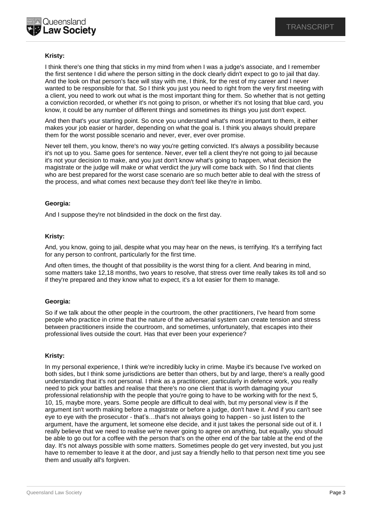

# **Kristy:**

I think there's one thing that sticks in my mind from when I was a judge's associate, and I remember the first sentence I did where the person sitting in the dock clearly didn't expect to go to jail that day. And the look on that person's face will stay with me, I think, for the rest of my career and I never wanted to be responsible for that. So I think you just you need to right from the very first meeting with a client, you need to work out what is the most important thing for them. So whether that is not getting a conviction recorded, or whether it's not going to prison, or whether it's not losing that blue card, you know, it could be any number of different things and sometimes its things you just don't expect.

And then that's your starting point. So once you understand what's most important to them, it either makes your job easier or harder, depending on what the goal is. I think you always should prepare them for the worst possible scenario and never, ever, ever over promise.

Never tell them, you know, there's no way you're getting convicted. It's always a possibility because it's not up to you. Same goes for sentence. Never, ever tell a client they're not going to jail because it's not your decision to make, and you just don't know what's going to happen, what decision the magistrate or the judge will make or what verdict the jury will come back with. So I find that clients who are best prepared for the worst case scenario are so much better able to deal with the stress of the process, and what comes next because they don't feel like they're in limbo.

## **Georgia:**

And I suppose they're not blindsided in the dock on the first day.

## **Kristy:**

And, you know, going to jail, despite what you may hear on the news, is terrifying. It's a terrifying fact for any person to confront, particularly for the first time.

And often times, the thought of that possibility is the worst thing for a client. And bearing in mind, some matters take 12,18 months, two years to resolve, that stress over time really takes its toll and so if they're prepared and they know what to expect, it's a lot easier for them to manage.

### **Georgia:**

So if we talk about the other people in the courtroom, the other practitioners, I've heard from some people who practice in crime that the nature of the adversarial system can create tension and stress between practitioners inside the courtroom, and sometimes, unfortunately, that escapes into their professional lives outside the court. Has that ever been your experience?

### **Kristy:**

In my personal experience, I think we're incredibly lucky in crime. Maybe it's because I've worked on both sides, but I think some jurisdictions are better than others, but by and large, there's a really good understanding that it's not personal. I think as a practitioner, particularly in defence work, you really need to pick your battles and realise that there's no one client that is worth damaging your professional relationship with the people that you're going to have to be working with for the next 5, 10, 15, maybe more, years. Some people are difficult to deal with, but my personal view is if the argument isn't worth making before a magistrate or before a judge, don't have it. And if you can't see eye to eye with the prosecutor - that's…that's not always going to happen - so just listen to the argument, have the argument, let someone else decide, and it just takes the personal side out of it. I really believe that we need to realise we're never going to agree on anything, but equally, you should be able to go out for a coffee with the person that's on the other end of the bar table at the end of the day. It's not always possible with some matters. Sometimes people do get very invested, but you just have to remember to leave it at the door, and just say a friendly hello to that person next time you see them and usually all's forgiven.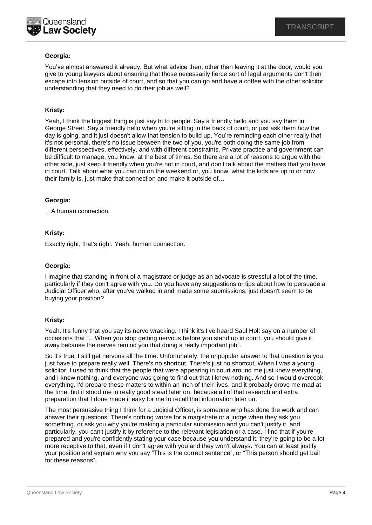

# **Georgia:**

You've almost answered it already. But what advice then, other than leaving it at the door, would you give to young lawyers about ensuring that those necessarily fierce sort of legal arguments don't then escape into tension outside of court, and so that you can go and have a coffee with the other solicitor understanding that they need to do their job as well?

## **Kristy:**

Yeah, I think the biggest thing is just say hi to people. Say a friendly hello and you say them in George Street. Say a friendly hello when you're sitting in the back of court, or just ask them how the day is going, and it just doesn't allow that tension to build up. You're reminding each other really that it's not personal, there's no issue between the two of you, you're both doing the same job from different perspectives, effectively, and with different constraints. Private practice and government can be difficult to manage, you know, at the best of times. So there are a lot of reasons to argue with the other side, just keep it friendly when you're not in court, and don't talk about the matters that you have in court. Talk about what you can do on the weekend or, you know, what the kids are up to or how their family is, just make that connection and make it outside of…

### **Georgia:**

…A human connection.

## **Kristy:**

Exactly right, that's right. Yeah, human connection.

### **Georgia:**

I imagine that standing in front of a magistrate or judge as an advocate is stressful a lot of the time, particularly if they don't agree with you. Do you have any suggestions or tips about how to persuade a Judicial Officer who, after you've walked in and made some submissions, just doesn't seem to be buying your position?

### **Kristy:**

Yeah. It's funny that you say its nerve wracking. I think it's I've heard Saul Holt say on a number of occasions that "…When you stop getting nervous before you stand up in court, you should give it away because the nerves remind you that doing a really important job".

So it's true, I still get nervous all the time. Unfortunately, the unpopular answer to that question is you just have to prepare really well. There's no shortcut. There's just no shortcut. When I was a young solicitor, I used to think that the people that were appearing in court around me just knew everything, and I knew nothing, and everyone was going to find out that I knew nothing. And so I would overcook everything. I'd prepare these matters to within an inch of their lives, and it probably drove me mad at the time, but it stood me in really good stead later on, because all of that research and extra preparation that I done made it easy for me to recall that information later on.

The most persuasive thing I think for a Judicial Officer, is someone who has done the work and can answer their questions. There's nothing worse for a magistrate or a judge when they ask you something, or ask you why you're making a particular submission and you can't justify it, and particularly, you can't justify it by reference to the relevant legislation or a case. I find that if you're prepared and you're confidently stating your case because you understand it, they're going to be a lot more receptive to that, even if I don't agree with you and they won't always. You can at least justify your position and explain why you say "This is the correct sentence", or "This person should get bail for these reasons".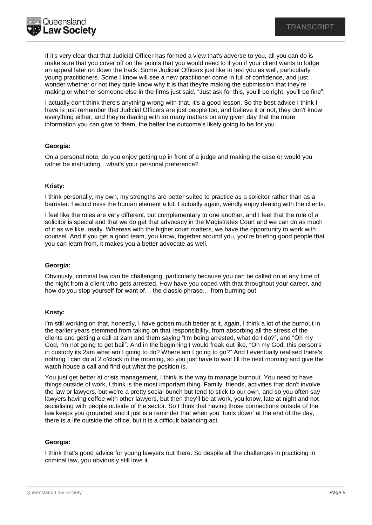

If it's very clear that that Judicial Officer has formed a view that's adverse to you, all you can do is make sure that you cover off on the points that you would need to if you if your client wants to lodge an appeal later on down the track. Some Judicial Officers just like to test you as well, particularly young practitioners. Some I know will see a new practitioner come in full of confidence, and just wonder whether or not they quite know why it is that they're making the submission that they're making or whether someone else in the firms just said, "Just ask for this, you'll be right, you'll be fine".

I actually don't think there's anything wrong with that, it's a good lesson. So the best advice I think I have is just remember that Judicial Officers are just people too, and believe it or not, they don't know everything either, and they're dealing with so many matters on any given day that the more information you can give to them, the better the outcome's likely going to be for you.

## **Georgia:**

On a personal note, do you enjoy getting up in front of a judge and making the case or would you rather be instructing…what's your personal preference?

### **Kristy:**

I think personally, my own, my strengths are better suited to practice as a solicitor rather than as a barrister. I would miss the human element a lot. I actually again, weirdly enjoy dealing with the clients.

I feel like the roles are very different, but complementary to one another, and I feel that the role of a solicitor is special and that we do get that advocacy in the Magistrates Court and we can do as much of it as we like, really. Whereas with the higher court matters, we have the opportunity to work with counsel. And if you get a good team, you know, together around you, you're briefing good people that you can learn from, it makes you a better advocate as well.

#### **Georgia:**

Obviously, criminal law can be challenging, particularly because you can be called on at any time of the night from a client who gets arrested. How have you coped with that throughout your career, and how do you stop yourself for want of… the classic phrase… from burning out.

### **Kristy:**

I'm still working on that, honestly, I have gotten much better at it, again, I think a lot of the burnout in the earlier years stemmed from taking on that responsibility, from absorbing all the stress of the clients and getting a call at 2am and them saying "I'm being arrested, what do I do?", and "Oh my God, I'm not going to get bail". And in the beginning I would freak out like, "Oh my God, this person's in custody its 2am what am I going to do? Where am I going to go?" And I eventually realised there's nothing I can do at 2 o'clock in the morning, so you just have to wait till the next morning and give the watch house a call and find out what the position is.

You just get better at crisis management, I think is the way to manage burnout. You need to have things outside of work, I think is the most important thing. Family, friends, activities that don't involve the law or lawyers, but we're a pretty social bunch but tend to stick to our own, and so you often say lawyers having coffee with other lawyers, but then they'll be at work, you know, late at night and not socialising with people outside of the sector. So I think that having those connections outside of the law keeps you grounded and it just is a reminder that when you 'tools down' at the end of the day, there is a life outside the office, but it is a difficult balancing act.

### **Georgia:**

I think that's good advice for young lawyers out there. So despite all the challenges in practicing in criminal law, you obviously still love it.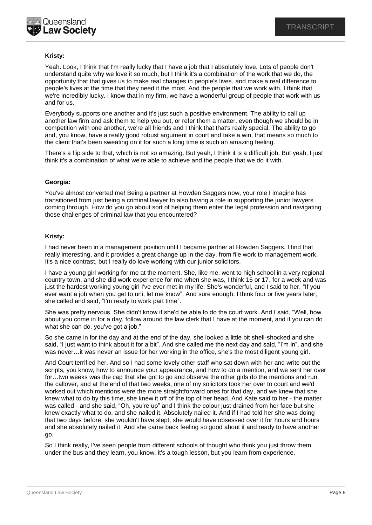# **Kristy:**

Yeah. Look, I think that I'm really lucky that I have a job that I absolutely love. Lots of people don't understand quite why we love it so much, but I think it's a combination of the work that we do, the opportunity that that gives us to make real changes in people's lives, and make a real difference to people's lives at the time that they need it the most. And the people that we work with, I think that we're incredibly lucky. I know that in my firm, we have a wonderful group of people that work with us and for us.

Everybody supports one another and it's just such a positive environment. The ability to call up another law firm and ask them to help you out, or refer them a matter, even though we should be in competition with one another, we're all friends and I think that that's really special. The ability to go and, you know, have a really good robust argument in court and take a win, that means so much to the client that's been sweating on it for such a long time is such an amazing feeling.

There's a flip side to that, which is not so amazing. But yeah, I think it is a difficult job. But yeah, I just think it's a combination of what we're able to achieve and the people that we do it with.

## **Georgia:**

You've almost converted me! Being a partner at Howden Saggers now, your role I imagine has transitioned from just being a criminal lawyer to also having a role in supporting the junior lawyers coming through. How do you go about sort of helping them enter the legal profession and navigating those challenges of criminal law that you encountered?

## **Kristy:**

I had never been in a management position until I became partner at Howden Saggers. I find that really interesting, and it provides a great change up in the day, from file work to management work. It's a nice contrast, but I really do love working with our junior solicitors.

I have a young girl working for me at the moment. She, like me, went to high school in a very regional country town, and she did work experience for me when she was, I think 16 or 17, for a week and was just the hardest working young girl I've ever met in my life. She's wonderful, and I said to her, "If you ever want a job when you get to uni, let me know". And sure enough, I think four or five years later, she called and said, "I'm ready to work part time".

She was pretty nervous. She didn't know if she'd be able to do the court work. And I said, "Well, how about you come in for a day, follow around the law clerk that I have at the moment, and if you can do what she can do, you've got a job."

So she came in for the day and at the end of the day, she looked a little bit shell-shocked and she said, "I just want to think about it for a bit". And she called me the next day and said, "I'm in", and she was never…it was never an issue for her working in the office, she's the most diligent young girl.

And Court terrified her. And so I had some lovely other staff who sat down with her and write out the scripts, you know, how to announce your appearance, and how to do a mention, and we sent her over for…two weeks was the cap that she got to go and observe the other girls do the mentions and run the callover, and at the end of that two weeks, one of my solicitors took her over to court and we'd worked out which mentions were the more straightforward ones for that day, and we knew that she knew what to do by this time, she knew it off of the top of her head. And Kate said to her - the matter was called - and she said, "Oh, you're up" and I think the colour just drained from her face but she knew exactly what to do, and she nailed it. Absolutely nailed it. And if I had told her she was doing that two days before, she wouldn't have slept, she would have obsessed over it for hours and hours and she absolutely nailed it. And she came back feeling so good about it and ready to have another go.

So I think really, I've seen people from different schools of thought who think you just throw them under the bus and they learn, you know, it's a tough lesson, but you learn from experience.